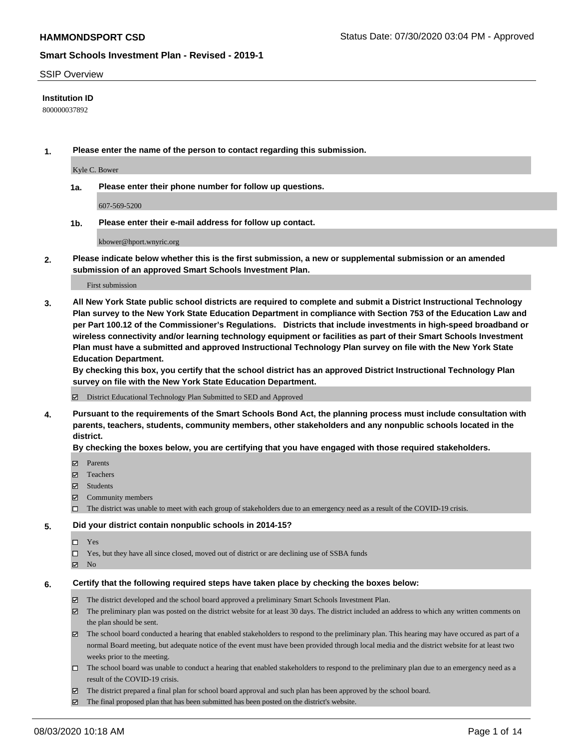### SSIP Overview

## **Institution ID**

800000037892

**1. Please enter the name of the person to contact regarding this submission.**

Kyle C. Bower

**1a. Please enter their phone number for follow up questions.**

607-569-5200

**1b. Please enter their e-mail address for follow up contact.**

kbower@hport.wnyric.org

**2. Please indicate below whether this is the first submission, a new or supplemental submission or an amended submission of an approved Smart Schools Investment Plan.**

### First submission

**3. All New York State public school districts are required to complete and submit a District Instructional Technology Plan survey to the New York State Education Department in compliance with Section 753 of the Education Law and per Part 100.12 of the Commissioner's Regulations. Districts that include investments in high-speed broadband or wireless connectivity and/or learning technology equipment or facilities as part of their Smart Schools Investment Plan must have a submitted and approved Instructional Technology Plan survey on file with the New York State Education Department.** 

**By checking this box, you certify that the school district has an approved District Instructional Technology Plan survey on file with the New York State Education Department.**

District Educational Technology Plan Submitted to SED and Approved

**4. Pursuant to the requirements of the Smart Schools Bond Act, the planning process must include consultation with parents, teachers, students, community members, other stakeholders and any nonpublic schools located in the district.** 

#### **By checking the boxes below, you are certifying that you have engaged with those required stakeholders.**

- **□** Parents
- Teachers
- Students
- $\boxtimes$  Community members
- The district was unable to meet with each group of stakeholders due to an emergency need as a result of the COVID-19 crisis.

### **5. Did your district contain nonpublic schools in 2014-15?**

- $\neg$  Yes
- Yes, but they have all since closed, moved out of district or are declining use of SSBA funds
- **Z** No

#### **6. Certify that the following required steps have taken place by checking the boxes below:**

- The district developed and the school board approved a preliminary Smart Schools Investment Plan.
- $\boxtimes$  The preliminary plan was posted on the district website for at least 30 days. The district included an address to which any written comments on the plan should be sent.
- $\boxtimes$  The school board conducted a hearing that enabled stakeholders to respond to the preliminary plan. This hearing may have occured as part of a normal Board meeting, but adequate notice of the event must have been provided through local media and the district website for at least two weeks prior to the meeting.
- The school board was unable to conduct a hearing that enabled stakeholders to respond to the preliminary plan due to an emergency need as a result of the COVID-19 crisis.
- The district prepared a final plan for school board approval and such plan has been approved by the school board.
- $\boxtimes$  The final proposed plan that has been submitted has been posted on the district's website.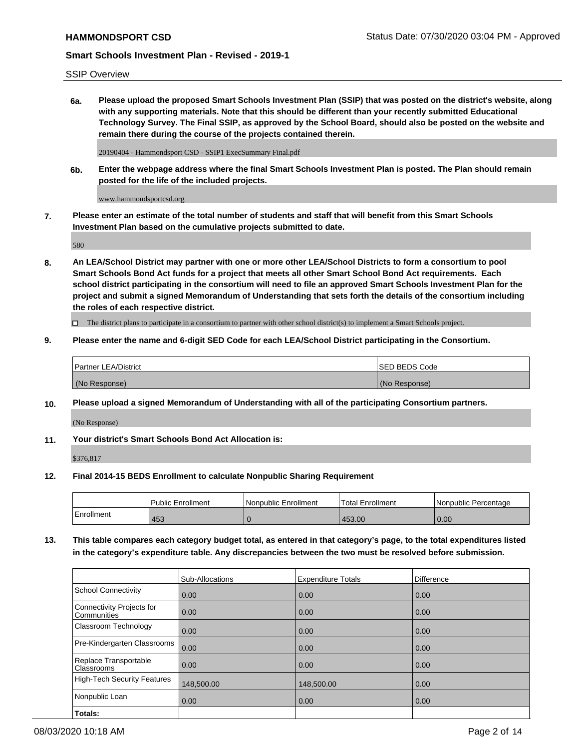## SSIP Overview

**6a. Please upload the proposed Smart Schools Investment Plan (SSIP) that was posted on the district's website, along with any supporting materials. Note that this should be different than your recently submitted Educational Technology Survey. The Final SSIP, as approved by the School Board, should also be posted on the website and remain there during the course of the projects contained therein.**

20190404 - Hammondsport CSD - SSIP1 ExecSummary Final.pdf

**6b. Enter the webpage address where the final Smart Schools Investment Plan is posted. The Plan should remain posted for the life of the included projects.**

www.hammondsportcsd.org

**7. Please enter an estimate of the total number of students and staff that will benefit from this Smart Schools Investment Plan based on the cumulative projects submitted to date.**

580

**8. An LEA/School District may partner with one or more other LEA/School Districts to form a consortium to pool Smart Schools Bond Act funds for a project that meets all other Smart School Bond Act requirements. Each school district participating in the consortium will need to file an approved Smart Schools Investment Plan for the project and submit a signed Memorandum of Understanding that sets forth the details of the consortium including the roles of each respective district.**

 $\Box$  The district plans to participate in a consortium to partner with other school district(s) to implement a Smart Schools project.

## **9. Please enter the name and 6-digit SED Code for each LEA/School District participating in the Consortium.**

| <b>Partner LEA/District</b> | <b>ISED BEDS Code</b> |
|-----------------------------|-----------------------|
| (No Response)               | (No Response)         |

## **10. Please upload a signed Memorandum of Understanding with all of the participating Consortium partners.**

(No Response)

## **11. Your district's Smart Schools Bond Act Allocation is:**

\$376,817

## **12. Final 2014-15 BEDS Enrollment to calculate Nonpublic Sharing Requirement**

|            | <b>Public Enrollment</b> | Nonpublic Enrollment | <b>Total Enrollment</b> | l Nonpublic Percentage |
|------------|--------------------------|----------------------|-------------------------|------------------------|
| Enrollment | 453                      |                      | 453.00                  | 0.00                   |

**13. This table compares each category budget total, as entered in that category's page, to the total expenditures listed in the category's expenditure table. Any discrepancies between the two must be resolved before submission.**

|                                          | Sub-Allocations | <b>Expenditure Totals</b> | Difference |
|------------------------------------------|-----------------|---------------------------|------------|
| <b>School Connectivity</b>               | 0.00            | 0.00                      | 0.00       |
| Connectivity Projects for<br>Communities | 0.00            | 0.00                      | 0.00       |
| Classroom Technology                     | 0.00            | 0.00                      | 0.00       |
| Pre-Kindergarten Classrooms              | 0.00            | 0.00                      | 0.00       |
| Replace Transportable<br>Classrooms      | 0.00            | 0.00                      | 0.00       |
| <b>High-Tech Security Features</b>       | 148,500.00      | 148,500.00                | 0.00       |
| Nonpublic Loan                           | 0.00            | 0.00                      | 0.00       |
| Totals:                                  |                 |                           |            |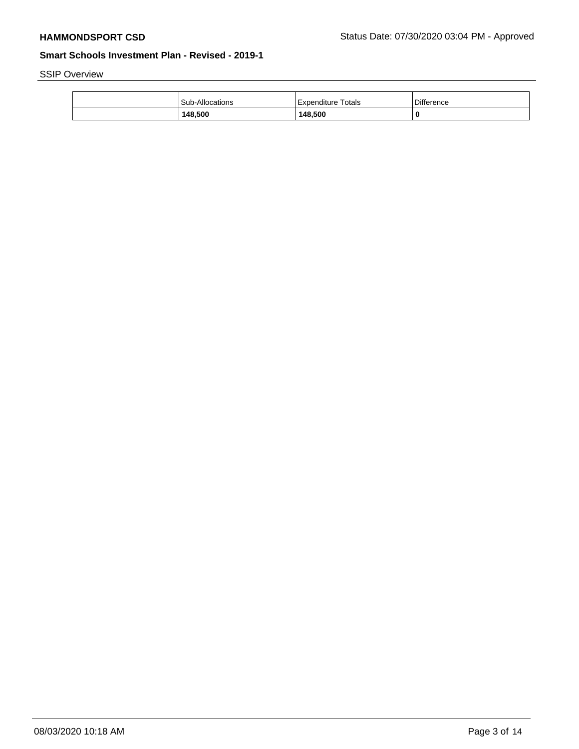SSIP Overview

| 148,500         | 148.500              |            |
|-----------------|----------------------|------------|
| Sub-Allocations | l Expenditure Totals | Difference |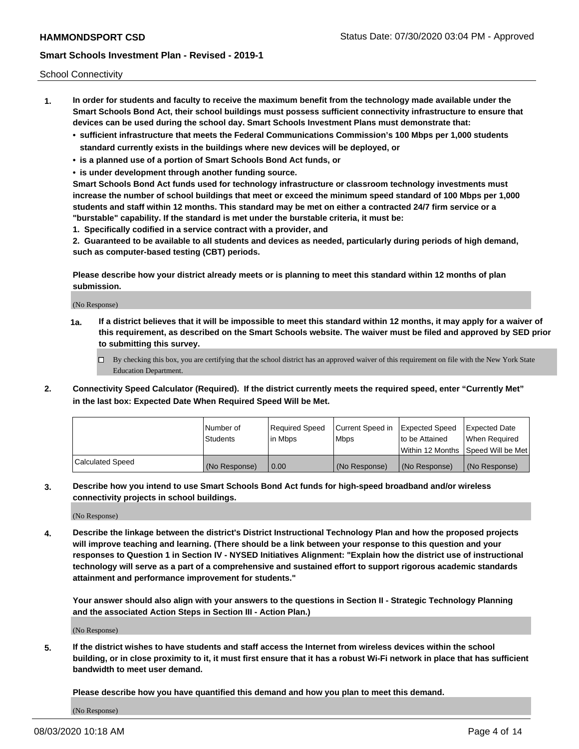School Connectivity

- **1. In order for students and faculty to receive the maximum benefit from the technology made available under the Smart Schools Bond Act, their school buildings must possess sufficient connectivity infrastructure to ensure that devices can be used during the school day. Smart Schools Investment Plans must demonstrate that:**
	- **• sufficient infrastructure that meets the Federal Communications Commission's 100 Mbps per 1,000 students standard currently exists in the buildings where new devices will be deployed, or**
	- **• is a planned use of a portion of Smart Schools Bond Act funds, or**
	- **• is under development through another funding source.**

**Smart Schools Bond Act funds used for technology infrastructure or classroom technology investments must increase the number of school buildings that meet or exceed the minimum speed standard of 100 Mbps per 1,000 students and staff within 12 months. This standard may be met on either a contracted 24/7 firm service or a "burstable" capability. If the standard is met under the burstable criteria, it must be:**

**1. Specifically codified in a service contract with a provider, and**

**2. Guaranteed to be available to all students and devices as needed, particularly during periods of high demand, such as computer-based testing (CBT) periods.**

**Please describe how your district already meets or is planning to meet this standard within 12 months of plan submission.**

(No Response)

**1a. If a district believes that it will be impossible to meet this standard within 12 months, it may apply for a waiver of this requirement, as described on the Smart Schools website. The waiver must be filed and approved by SED prior to submitting this survey.**

 $\Box$  By checking this box, you are certifying that the school district has an approved waiver of this requirement on file with the New York State Education Department.

**2. Connectivity Speed Calculator (Required). If the district currently meets the required speed, enter "Currently Met" in the last box: Expected Date When Required Speed Will be Met.**

|                  | l Number of     | Required Speed | Current Speed in | Expected Speed | Expected Date                        |
|------------------|-----------------|----------------|------------------|----------------|--------------------------------------|
|                  | <b>Students</b> | In Mbps        | <b>Mbps</b>      | to be Attained | When Required                        |
|                  |                 |                |                  |                | Within 12 Months 1Speed Will be Met1 |
| Calculated Speed | (No Response)   | 0.00           | (No Response)    | (No Response)  | l (No Response)                      |

**3. Describe how you intend to use Smart Schools Bond Act funds for high-speed broadband and/or wireless connectivity projects in school buildings.**

(No Response)

**4. Describe the linkage between the district's District Instructional Technology Plan and how the proposed projects will improve teaching and learning. (There should be a link between your response to this question and your responses to Question 1 in Section IV - NYSED Initiatives Alignment: "Explain how the district use of instructional technology will serve as a part of a comprehensive and sustained effort to support rigorous academic standards attainment and performance improvement for students."** 

**Your answer should also align with your answers to the questions in Section II - Strategic Technology Planning and the associated Action Steps in Section III - Action Plan.)**

(No Response)

**5. If the district wishes to have students and staff access the Internet from wireless devices within the school building, or in close proximity to it, it must first ensure that it has a robust Wi-Fi network in place that has sufficient bandwidth to meet user demand.**

**Please describe how you have quantified this demand and how you plan to meet this demand.**

(No Response)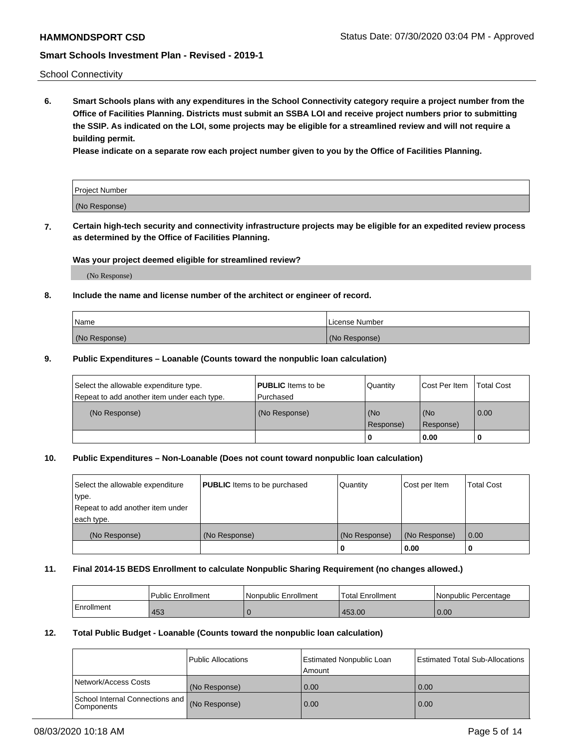School Connectivity

**6. Smart Schools plans with any expenditures in the School Connectivity category require a project number from the Office of Facilities Planning. Districts must submit an SSBA LOI and receive project numbers prior to submitting the SSIP. As indicated on the LOI, some projects may be eligible for a streamlined review and will not require a building permit.**

**Please indicate on a separate row each project number given to you by the Office of Facilities Planning.**

| Project Number |  |
|----------------|--|
| (No Response)  |  |

**7. Certain high-tech security and connectivity infrastructure projects may be eligible for an expedited review process as determined by the Office of Facilities Planning.**

## **Was your project deemed eligible for streamlined review?**

(No Response)

### **8. Include the name and license number of the architect or engineer of record.**

| Name          | License Number |
|---------------|----------------|
| (No Response) | (No Response)  |

### **9. Public Expenditures – Loanable (Counts toward the nonpublic loan calculation)**

| Select the allowable expenditure type.<br>Repeat to add another item under each type. | <b>PUBLIC</b> Items to be<br>l Purchased | Quantity           | Cost Per Item    | <b>Total Cost</b> |
|---------------------------------------------------------------------------------------|------------------------------------------|--------------------|------------------|-------------------|
| (No Response)                                                                         | (No Response)                            | l (No<br>Response) | (No<br>Response) | $\overline{0.00}$ |
|                                                                                       |                                          | 0                  | 0.00             |                   |

## **10. Public Expenditures – Non-Loanable (Does not count toward nonpublic loan calculation)**

| Select the allowable expenditure<br>type.<br>Repeat to add another item under<br>each type. | <b>PUBLIC</b> Items to be purchased | Quantity      | Cost per Item | <b>Total Cost</b> |
|---------------------------------------------------------------------------------------------|-------------------------------------|---------------|---------------|-------------------|
| (No Response)                                                                               | (No Response)                       | (No Response) | (No Response) | 0.00              |
|                                                                                             |                                     |               | 0.00          |                   |

#### **11. Final 2014-15 BEDS Enrollment to calculate Nonpublic Sharing Requirement (no changes allowed.)**

|            | Public Enrollment | Nonpublic Enrollment | <b>Total Enrollment</b> | l Nonpublic Percentage |
|------------|-------------------|----------------------|-------------------------|------------------------|
| Enrollment | 453               |                      | 453.00                  | 0.00                   |

### **12. Total Public Budget - Loanable (Counts toward the nonpublic loan calculation)**

|                                                      | Public Allocations | <b>Estimated Nonpublic Loan</b><br>Amount | Estimated Total Sub-Allocations |
|------------------------------------------------------|--------------------|-------------------------------------------|---------------------------------|
| Network/Access Costs                                 | (No Response)      | 0.00                                      | 0.00                            |
| School Internal Connections and<br><b>Components</b> | (No Response)      | 0.00                                      | 0.00                            |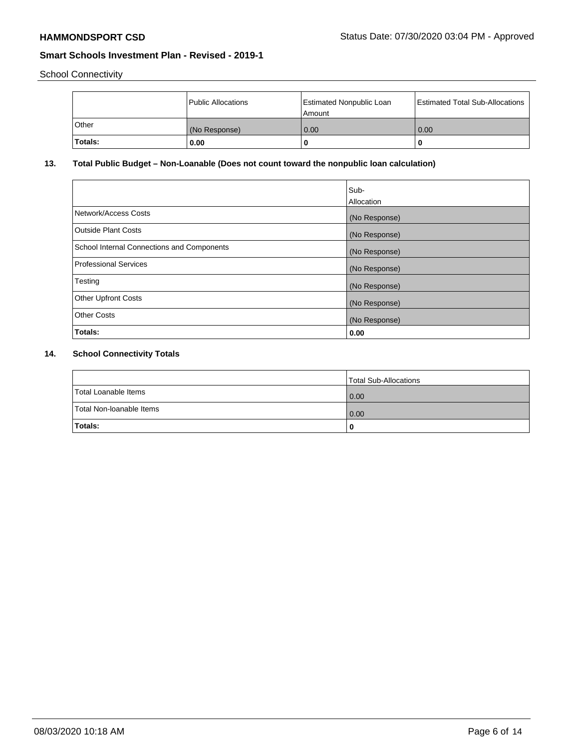School Connectivity

|          | Public Allocations | Estimated Nonpublic Loan<br>l Amount i | Estimated Total Sub-Allocations |
|----------|--------------------|----------------------------------------|---------------------------------|
| l Other  | (No Response)      | 0.00                                   | 0.00                            |
| 'Totals: | 0.00               | 0                                      | 0                               |

# **13. Total Public Budget – Non-Loanable (Does not count toward the nonpublic loan calculation)**

|                                                   | Sub-<br>Allocation |
|---------------------------------------------------|--------------------|
| Network/Access Costs                              | (No Response)      |
| <b>Outside Plant Costs</b>                        | (No Response)      |
| <b>School Internal Connections and Components</b> | (No Response)      |
| Professional Services                             | (No Response)      |
| Testing                                           | (No Response)      |
| <b>Other Upfront Costs</b>                        | (No Response)      |
| <b>Other Costs</b>                                | (No Response)      |
| Totals:                                           | 0.00               |

# **14. School Connectivity Totals**

|                          | Total Sub-Allocations |
|--------------------------|-----------------------|
| Total Loanable Items     | 0.00                  |
| Total Non-Ioanable Items | 0.00                  |
| Totals:                  | 0                     |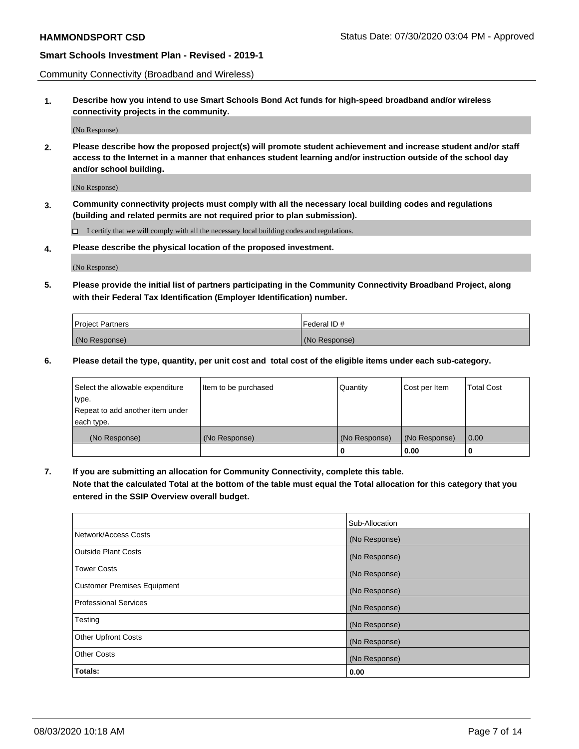Community Connectivity (Broadband and Wireless)

**1. Describe how you intend to use Smart Schools Bond Act funds for high-speed broadband and/or wireless connectivity projects in the community.**

(No Response)

**2. Please describe how the proposed project(s) will promote student achievement and increase student and/or staff access to the Internet in a manner that enhances student learning and/or instruction outside of the school day and/or school building.**

(No Response)

**3. Community connectivity projects must comply with all the necessary local building codes and regulations (building and related permits are not required prior to plan submission).**

 $\Box$  I certify that we will comply with all the necessary local building codes and regulations.

**4. Please describe the physical location of the proposed investment.**

(No Response)

**5. Please provide the initial list of partners participating in the Community Connectivity Broadband Project, along with their Federal Tax Identification (Employer Identification) number.**

| <b>Project Partners</b> | l Federal ID # |
|-------------------------|----------------|
| (No Response)           | (No Response)  |

**6. Please detail the type, quantity, per unit cost and total cost of the eligible items under each sub-category.**

| Select the allowable expenditure | Item to be purchased | Quantity      | Cost per Item | <b>Total Cost</b> |
|----------------------------------|----------------------|---------------|---------------|-------------------|
| type.                            |                      |               |               |                   |
| Repeat to add another item under |                      |               |               |                   |
| each type.                       |                      |               |               |                   |
| (No Response)                    | (No Response)        | (No Response) | (No Response) | 0.00              |
|                                  |                      | U             | 0.00          |                   |

**7. If you are submitting an allocation for Community Connectivity, complete this table.**

**Note that the calculated Total at the bottom of the table must equal the Total allocation for this category that you entered in the SSIP Overview overall budget.**

|                                    | Sub-Allocation |
|------------------------------------|----------------|
| Network/Access Costs               | (No Response)  |
| Outside Plant Costs                | (No Response)  |
| <b>Tower Costs</b>                 | (No Response)  |
| <b>Customer Premises Equipment</b> | (No Response)  |
| <b>Professional Services</b>       | (No Response)  |
| Testing                            | (No Response)  |
| <b>Other Upfront Costs</b>         | (No Response)  |
| <b>Other Costs</b>                 | (No Response)  |
| Totals:                            | 0.00           |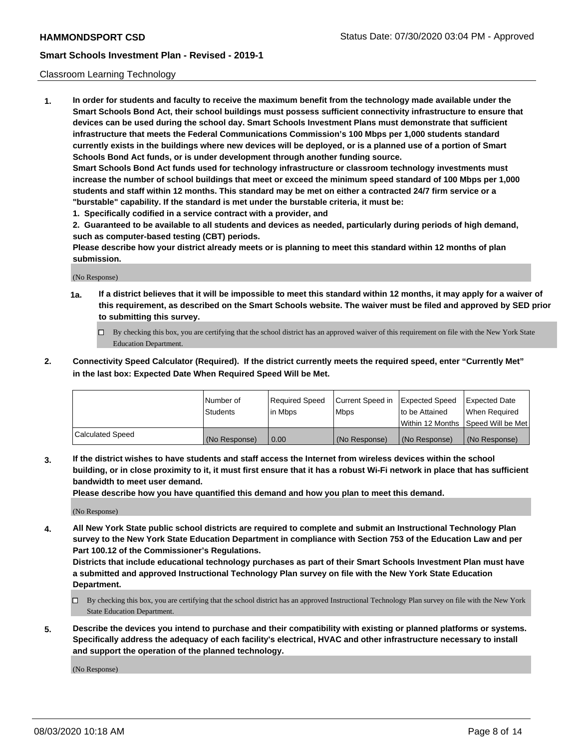### Classroom Learning Technology

**1. In order for students and faculty to receive the maximum benefit from the technology made available under the Smart Schools Bond Act, their school buildings must possess sufficient connectivity infrastructure to ensure that devices can be used during the school day. Smart Schools Investment Plans must demonstrate that sufficient infrastructure that meets the Federal Communications Commission's 100 Mbps per 1,000 students standard currently exists in the buildings where new devices will be deployed, or is a planned use of a portion of Smart Schools Bond Act funds, or is under development through another funding source. Smart Schools Bond Act funds used for technology infrastructure or classroom technology investments must increase the number of school buildings that meet or exceed the minimum speed standard of 100 Mbps per 1,000 students and staff within 12 months. This standard may be met on either a contracted 24/7 firm service or a**

**"burstable" capability. If the standard is met under the burstable criteria, it must be:**

**1. Specifically codified in a service contract with a provider, and**

**2. Guaranteed to be available to all students and devices as needed, particularly during periods of high demand, such as computer-based testing (CBT) periods.**

**Please describe how your district already meets or is planning to meet this standard within 12 months of plan submission.**

(No Response)

- **1a. If a district believes that it will be impossible to meet this standard within 12 months, it may apply for a waiver of this requirement, as described on the Smart Schools website. The waiver must be filed and approved by SED prior to submitting this survey.**
	- By checking this box, you are certifying that the school district has an approved waiver of this requirement on file with the New York State Education Department.
- **2. Connectivity Speed Calculator (Required). If the district currently meets the required speed, enter "Currently Met" in the last box: Expected Date When Required Speed Will be Met.**

|                  | l Number of     | Required Speed | Current Speed in | <b>Expected Speed</b> | <b>Expected Date</b>                |
|------------------|-----------------|----------------|------------------|-----------------------|-------------------------------------|
|                  | <b>Students</b> | l in Mbps      | l Mbps           | to be Attained        | When Required                       |
|                  |                 |                |                  |                       | Within 12 Months  Speed Will be Met |
| Calculated Speed | (No Response)   | 0.00           | (No Response)    | l (No Response)       | (No Response)                       |

**3. If the district wishes to have students and staff access the Internet from wireless devices within the school building, or in close proximity to it, it must first ensure that it has a robust Wi-Fi network in place that has sufficient bandwidth to meet user demand.**

**Please describe how you have quantified this demand and how you plan to meet this demand.**

(No Response)

**4. All New York State public school districts are required to complete and submit an Instructional Technology Plan survey to the New York State Education Department in compliance with Section 753 of the Education Law and per Part 100.12 of the Commissioner's Regulations.**

**Districts that include educational technology purchases as part of their Smart Schools Investment Plan must have a submitted and approved Instructional Technology Plan survey on file with the New York State Education Department.**

- By checking this box, you are certifying that the school district has an approved Instructional Technology Plan survey on file with the New York State Education Department.
- **5. Describe the devices you intend to purchase and their compatibility with existing or planned platforms or systems. Specifically address the adequacy of each facility's electrical, HVAC and other infrastructure necessary to install and support the operation of the planned technology.**

(No Response)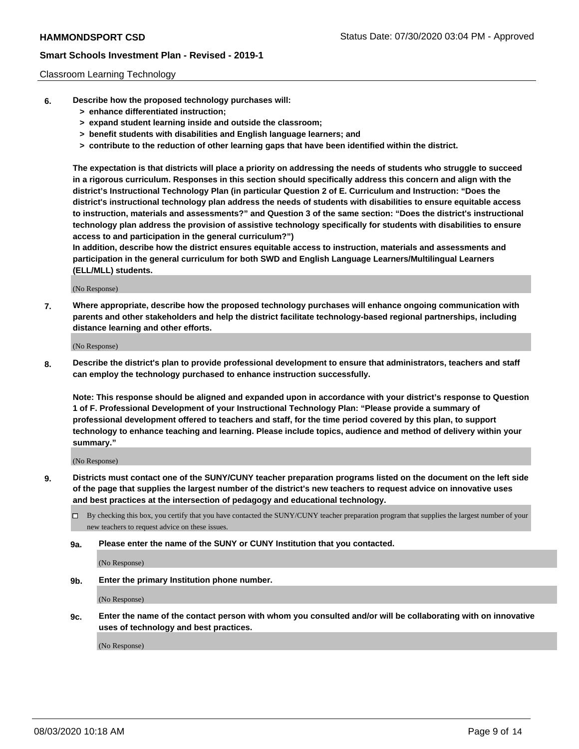### Classroom Learning Technology

- **6. Describe how the proposed technology purchases will:**
	- **> enhance differentiated instruction;**
	- **> expand student learning inside and outside the classroom;**
	- **> benefit students with disabilities and English language learners; and**
	- **> contribute to the reduction of other learning gaps that have been identified within the district.**

**The expectation is that districts will place a priority on addressing the needs of students who struggle to succeed in a rigorous curriculum. Responses in this section should specifically address this concern and align with the district's Instructional Technology Plan (in particular Question 2 of E. Curriculum and Instruction: "Does the district's instructional technology plan address the needs of students with disabilities to ensure equitable access to instruction, materials and assessments?" and Question 3 of the same section: "Does the district's instructional technology plan address the provision of assistive technology specifically for students with disabilities to ensure access to and participation in the general curriculum?")**

**In addition, describe how the district ensures equitable access to instruction, materials and assessments and participation in the general curriculum for both SWD and English Language Learners/Multilingual Learners (ELL/MLL) students.**

(No Response)

**7. Where appropriate, describe how the proposed technology purchases will enhance ongoing communication with parents and other stakeholders and help the district facilitate technology-based regional partnerships, including distance learning and other efforts.**

(No Response)

**8. Describe the district's plan to provide professional development to ensure that administrators, teachers and staff can employ the technology purchased to enhance instruction successfully.**

**Note: This response should be aligned and expanded upon in accordance with your district's response to Question 1 of F. Professional Development of your Instructional Technology Plan: "Please provide a summary of professional development offered to teachers and staff, for the time period covered by this plan, to support technology to enhance teaching and learning. Please include topics, audience and method of delivery within your summary."**

(No Response)

- **9. Districts must contact one of the SUNY/CUNY teacher preparation programs listed on the document on the left side of the page that supplies the largest number of the district's new teachers to request advice on innovative uses and best practices at the intersection of pedagogy and educational technology.**
	- By checking this box, you certify that you have contacted the SUNY/CUNY teacher preparation program that supplies the largest number of your new teachers to request advice on these issues.
	- **9a. Please enter the name of the SUNY or CUNY Institution that you contacted.**

(No Response)

**9b. Enter the primary Institution phone number.**

(No Response)

**9c. Enter the name of the contact person with whom you consulted and/or will be collaborating with on innovative uses of technology and best practices.**

(No Response)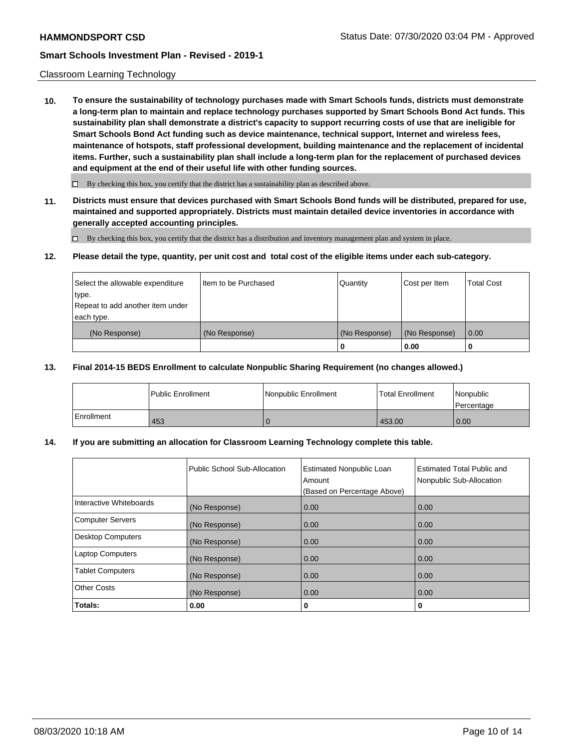### Classroom Learning Technology

**10. To ensure the sustainability of technology purchases made with Smart Schools funds, districts must demonstrate a long-term plan to maintain and replace technology purchases supported by Smart Schools Bond Act funds. This sustainability plan shall demonstrate a district's capacity to support recurring costs of use that are ineligible for Smart Schools Bond Act funding such as device maintenance, technical support, Internet and wireless fees, maintenance of hotspots, staff professional development, building maintenance and the replacement of incidental items. Further, such a sustainability plan shall include a long-term plan for the replacement of purchased devices and equipment at the end of their useful life with other funding sources.**

 $\Box$  By checking this box, you certify that the district has a sustainability plan as described above.

**11. Districts must ensure that devices purchased with Smart Schools Bond funds will be distributed, prepared for use, maintained and supported appropriately. Districts must maintain detailed device inventories in accordance with generally accepted accounting principles.**

By checking this box, you certify that the district has a distribution and inventory management plan and system in place.

### **12. Please detail the type, quantity, per unit cost and total cost of the eligible items under each sub-category.**

| Select the allowable expenditure<br>type.<br>Repeat to add another item under | Item to be Purchased | Quantity      | Cost per Item | <b>Total Cost</b> |
|-------------------------------------------------------------------------------|----------------------|---------------|---------------|-------------------|
| each type.<br>(No Response)                                                   | (No Response)        | (No Response) | (No Response) | 0.00              |
|                                                                               |                      | 0             | 0.00          |                   |

### **13. Final 2014-15 BEDS Enrollment to calculate Nonpublic Sharing Requirement (no changes allowed.)**

|            | l Public Enrollment | Nonpublic Enrollment | <b>Total Enrollment</b> | l Nonpublic<br>l Percentage |
|------------|---------------------|----------------------|-------------------------|-----------------------------|
| Enrollment | 453                 |                      | 453.00                  | 0.00                        |

### **14. If you are submitting an allocation for Classroom Learning Technology complete this table.**

|                          | Public School Sub-Allocation | <b>Estimated Nonpublic Loan</b><br>Amount<br>(Based on Percentage Above) | <b>Estimated Total Public and</b><br>Nonpublic Sub-Allocation |
|--------------------------|------------------------------|--------------------------------------------------------------------------|---------------------------------------------------------------|
| Interactive Whiteboards  | (No Response)                | 0.00                                                                     | 0.00                                                          |
| <b>Computer Servers</b>  | (No Response)                | 0.00                                                                     | 0.00                                                          |
| <b>Desktop Computers</b> | (No Response)                | 0.00                                                                     | 0.00                                                          |
| <b>Laptop Computers</b>  | (No Response)                | 0.00                                                                     | 0.00                                                          |
| <b>Tablet Computers</b>  | (No Response)                | 0.00                                                                     | 0.00                                                          |
| <b>Other Costs</b>       | (No Response)                | 0.00                                                                     | 0.00                                                          |
| Totals:                  | 0.00                         | 0                                                                        | 0                                                             |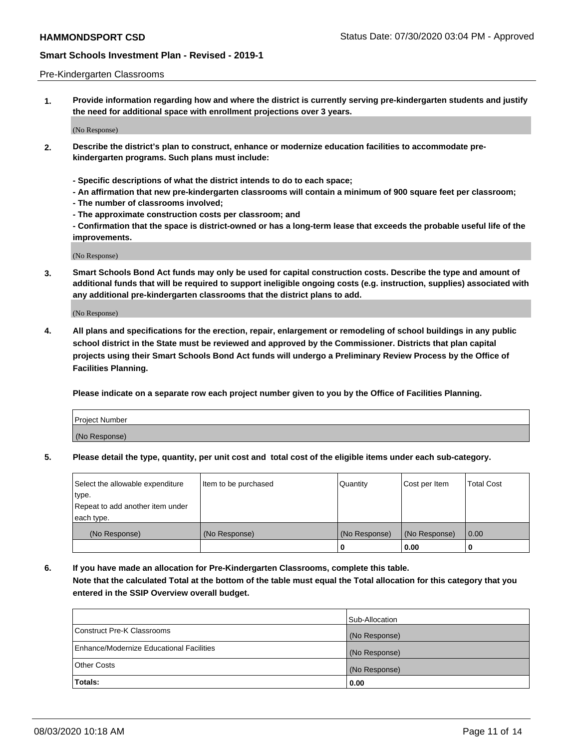### Pre-Kindergarten Classrooms

**1. Provide information regarding how and where the district is currently serving pre-kindergarten students and justify the need for additional space with enrollment projections over 3 years.**

(No Response)

- **2. Describe the district's plan to construct, enhance or modernize education facilities to accommodate prekindergarten programs. Such plans must include:**
	- **Specific descriptions of what the district intends to do to each space;**
	- **An affirmation that new pre-kindergarten classrooms will contain a minimum of 900 square feet per classroom;**
	- **The number of classrooms involved;**
	- **The approximate construction costs per classroom; and**
	- **Confirmation that the space is district-owned or has a long-term lease that exceeds the probable useful life of the improvements.**

(No Response)

**3. Smart Schools Bond Act funds may only be used for capital construction costs. Describe the type and amount of additional funds that will be required to support ineligible ongoing costs (e.g. instruction, supplies) associated with any additional pre-kindergarten classrooms that the district plans to add.**

(No Response)

**4. All plans and specifications for the erection, repair, enlargement or remodeling of school buildings in any public school district in the State must be reviewed and approved by the Commissioner. Districts that plan capital projects using their Smart Schools Bond Act funds will undergo a Preliminary Review Process by the Office of Facilities Planning.**

**Please indicate on a separate row each project number given to you by the Office of Facilities Planning.**

| Project Number |  |
|----------------|--|
| (No Response)  |  |
|                |  |

**5. Please detail the type, quantity, per unit cost and total cost of the eligible items under each sub-category.**

| Select the allowable expenditure | Item to be purchased | Quantity      | Cost per Item | <b>Total Cost</b> |
|----------------------------------|----------------------|---------------|---------------|-------------------|
| type.                            |                      |               |               |                   |
| Repeat to add another item under |                      |               |               |                   |
| each type.                       |                      |               |               |                   |
| (No Response)                    | (No Response)        | (No Response) | (No Response) | 0.00              |
|                                  |                      | o             | 0.00          | u                 |

**6. If you have made an allocation for Pre-Kindergarten Classrooms, complete this table. Note that the calculated Total at the bottom of the table must equal the Total allocation for this category that you entered in the SSIP Overview overall budget.**

|                                          | Sub-Allocation |
|------------------------------------------|----------------|
| Construct Pre-K Classrooms               | (No Response)  |
| Enhance/Modernize Educational Facilities | (No Response)  |
| <b>Other Costs</b>                       | (No Response)  |
| Totals:                                  | 0.00           |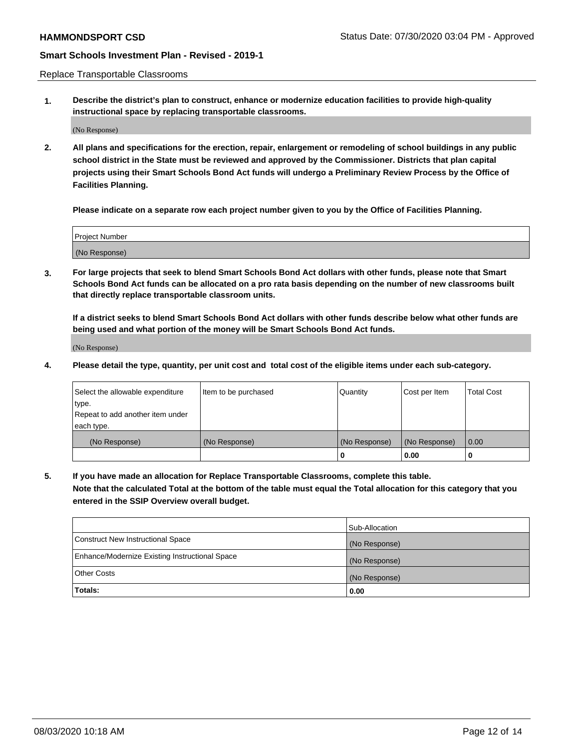Replace Transportable Classrooms

**1. Describe the district's plan to construct, enhance or modernize education facilities to provide high-quality instructional space by replacing transportable classrooms.**

(No Response)

**2. All plans and specifications for the erection, repair, enlargement or remodeling of school buildings in any public school district in the State must be reviewed and approved by the Commissioner. Districts that plan capital projects using their Smart Schools Bond Act funds will undergo a Preliminary Review Process by the Office of Facilities Planning.**

**Please indicate on a separate row each project number given to you by the Office of Facilities Planning.**

| Project Number |  |
|----------------|--|
|                |  |
|                |  |
|                |  |
| (No Response)  |  |
|                |  |
|                |  |

**3. For large projects that seek to blend Smart Schools Bond Act dollars with other funds, please note that Smart Schools Bond Act funds can be allocated on a pro rata basis depending on the number of new classrooms built that directly replace transportable classroom units.**

**If a district seeks to blend Smart Schools Bond Act dollars with other funds describe below what other funds are being used and what portion of the money will be Smart Schools Bond Act funds.**

(No Response)

**4. Please detail the type, quantity, per unit cost and total cost of the eligible items under each sub-category.**

| Select the allowable expenditure | Item to be purchased | Quantity      | Cost per Item | Total Cost |
|----------------------------------|----------------------|---------------|---------------|------------|
| ∣type.                           |                      |               |               |            |
| Repeat to add another item under |                      |               |               |            |
| each type.                       |                      |               |               |            |
| (No Response)                    | (No Response)        | (No Response) | (No Response) | 0.00       |
|                                  |                      | u             | 0.00          |            |

**5. If you have made an allocation for Replace Transportable Classrooms, complete this table. Note that the calculated Total at the bottom of the table must equal the Total allocation for this category that you entered in the SSIP Overview overall budget.**

|                                                | Sub-Allocation |
|------------------------------------------------|----------------|
| Construct New Instructional Space              | (No Response)  |
| Enhance/Modernize Existing Instructional Space | (No Response)  |
| <b>Other Costs</b>                             | (No Response)  |
| Totals:                                        | 0.00           |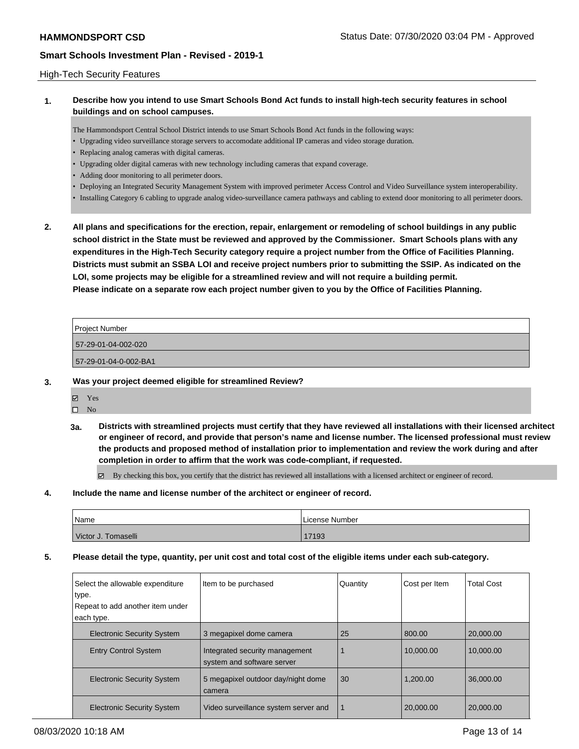### High-Tech Security Features

## **1. Describe how you intend to use Smart Schools Bond Act funds to install high-tech security features in school buildings and on school campuses.**

The Hammondsport Central School District intends to use Smart Schools Bond Act funds in the following ways:

- Upgrading video surveillance storage servers to accomodate additional IP cameras and video storage duration.
- Replacing analog cameras with digital cameras.
- Upgrading older digital cameras with new technology including cameras that expand coverage.
- Adding door monitoring to all perimeter doors.
- Deploying an Integrated Security Management System with improved perimeter Access Control and Video Surveillance system interoperability.
- Installing Category 6 cabling to upgrade analog video-surveillance camera pathways and cabling to extend door monitoring to all perimeter doors.
- **2. All plans and specifications for the erection, repair, enlargement or remodeling of school buildings in any public school district in the State must be reviewed and approved by the Commissioner. Smart Schools plans with any expenditures in the High-Tech Security category require a project number from the Office of Facilities Planning. Districts must submit an SSBA LOI and receive project numbers prior to submitting the SSIP. As indicated on the LOI, some projects may be eligible for a streamlined review and will not require a building permit. Please indicate on a separate row each project number given to you by the Office of Facilities Planning.**

| Project Number        |  |
|-----------------------|--|
| 57-29-01-04-002-020   |  |
| 57-29-01-04-0-002-BA1 |  |
|                       |  |

- **3. Was your project deemed eligible for streamlined Review?**
	- **M** Yes
	- $\square$  No
	- **3a. Districts with streamlined projects must certify that they have reviewed all installations with their licensed architect or engineer of record, and provide that person's name and license number. The licensed professional must review the products and proposed method of installation prior to implementation and review the work during and after completion in order to affirm that the work was code-compliant, if requested.**

By checking this box, you certify that the district has reviewed all installations with a licensed architect or engineer of record.

**4. Include the name and license number of the architect or engineer of record.**

| Name                | l License Number |
|---------------------|------------------|
| Victor J. Tomaselli | 17193            |

**5. Please detail the type, quantity, per unit cost and total cost of the eligible items under each sub-category.**

| Select the allowable expenditure  | Item to be purchased                                         | Quantity | Cost per Item | <b>Total Cost</b> |
|-----------------------------------|--------------------------------------------------------------|----------|---------------|-------------------|
| type.                             |                                                              |          |               |                   |
| Repeat to add another item under  |                                                              |          |               |                   |
| each type.                        |                                                              |          |               |                   |
| <b>Electronic Security System</b> | 3 megapixel dome camera                                      | 25       | 800.00        | 20,000.00         |
| <b>Entry Control System</b>       | Integrated security management<br>system and software server |          | 10.000.00     | 10.000.00         |
| <b>Electronic Security System</b> | 5 megapixel outdoor day/night dome<br>camera                 | 30       | 1.200.00      | 36,000,00         |
| <b>Electronic Security System</b> | Video surveillance system server and                         | -1       | 20,000.00     | 20,000,00         |